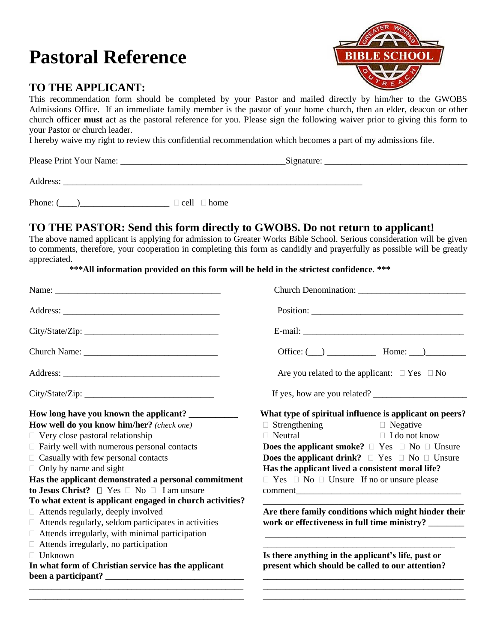# **Pastoral Reference**

## **TO THE APPLICANT:**

**RIBLE SCHOOL** 

This recommendation form should be completed by your Pastor and mailed directly by him/her to the GWOBS Admissions Office. If an immediate family member is the pastor of your home church, then an elder, deacon or other church officer **must** act as the pastoral reference for you. Please sign the following waiver prior to giving this form to your Pastor or church leader.

I hereby waive my right to review this confidential recommendation which becomes a part of my admissions file.

Please Print Your Name: <u>and Signature:</u> Equation Signature:  $\frac{1}{2}$ 

Address:

Phone: ( $\Box$  cell  $\Box$  home

### **TO THE PASTOR: Send this form directly to GWOBS. Do not return to applicant!**

The above named applicant is applying for admission to Greater Works Bible School. Serious consideration will be given to comments, therefore, your cooperation in completing this form as candidly and prayerfully as possible will be greatly appreciated.

#### **\*\*\*All information provided on this form will be held in the strictest confidence**. **\*\*\***

| Name:                                                       |                                                                     |  |  |  |
|-------------------------------------------------------------|---------------------------------------------------------------------|--|--|--|
|                                                             |                                                                     |  |  |  |
|                                                             |                                                                     |  |  |  |
|                                                             | Office: $(\_\_)$ $\_\_$ Home: $\_\_)$                               |  |  |  |
|                                                             | Are you related to the applicant: $\Box$ Yes $\Box$ No              |  |  |  |
|                                                             | If yes, how are you related?                                        |  |  |  |
|                                                             | What type of spiritual influence is applicant on peers?             |  |  |  |
| How well do you know him/her? (check one)                   | $\Box$ Strengthening<br>$\Box$ Negative                             |  |  |  |
| $\Box$ Very close pastoral relationship                     | $\Box$ Neutral<br>$\Box$ I do not know                              |  |  |  |
| $\Box$ Fairly well with numerous personal contacts          | <b>Does the applicant smoke?</b> $\Box$ Yes $\Box$ No $\Box$ Unsure |  |  |  |
| $\Box$ Casually with few personal contacts                  | <b>Does the applicant drink?</b> $\Box$ Yes $\Box$ No $\Box$ Unsure |  |  |  |
| $\Box$ Only by name and sight                               | Has the applicant lived a consistent moral life?                    |  |  |  |
| Has the applicant demonstrated a personal commitment        | $\Box$ Yes $\Box$ No $\Box$ Unsure If no or unsure please           |  |  |  |
| to Jesus Christ? $\Box$ Yes $\Box$ No $\Box$ I am unsure    |                                                                     |  |  |  |
| To what extent is applicant engaged in church activities?   |                                                                     |  |  |  |
| $\Box$ Attends regularly, deeply involved                   | Are there family conditions which might hinder their                |  |  |  |
| $\Box$ Attends regularly, seldom participates in activities | work or effectiveness in full time ministry? ________               |  |  |  |
| $\Box$ Attends irregularly, with minimal participation      |                                                                     |  |  |  |
| $\Box$ Attends irregularly, no participation                |                                                                     |  |  |  |
| $\Box$ Unknown                                              | Is there anything in the applicant's life, past or                  |  |  |  |
| In what form of Christian service has the applicant         | present which should be called to our attention?                    |  |  |  |

**\_\_\_\_\_\_\_\_\_\_\_\_\_\_\_\_\_\_\_\_\_\_\_\_\_\_\_\_\_\_\_\_\_\_\_\_\_\_\_\_\_\_\_\_\_\_\_\_\_\_\_\_\_ \_\_\_\_\_\_\_\_\_\_\_\_\_\_\_\_\_\_\_\_\_\_\_\_\_\_\_\_\_\_\_\_\_\_\_\_\_\_\_\_\_\_\_\_\_\_\_\_\_\_**